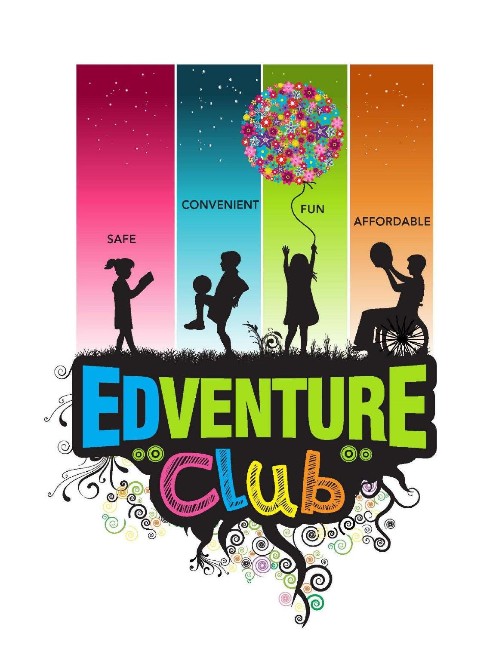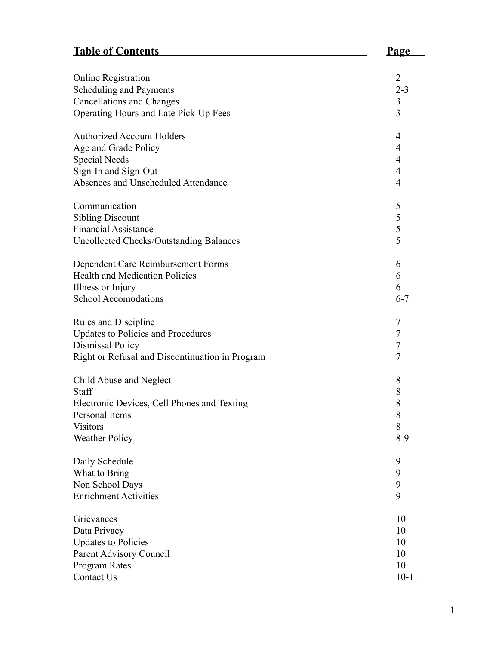# **Table of Contents Page**

| <b>Online Registration</b><br>Scheduling and Payments                     | $\overline{2}$<br>$2 - 3$ |
|---------------------------------------------------------------------------|---------------------------|
| <b>Cancellations and Changes</b><br>Operating Hours and Late Pick-Up Fees | 3<br>3                    |
| <b>Authorized Account Holders</b>                                         | 4                         |
| Age and Grade Policy                                                      | 4                         |
| <b>Special Needs</b>                                                      | 4                         |
| Sign-In and Sign-Out<br>Absences and Unscheduled Attendance               | 4<br>4                    |
|                                                                           |                           |
| Communication                                                             | 5                         |
| <b>Sibling Discount</b>                                                   | 5                         |
| <b>Financial Assistance</b>                                               | 5                         |
| <b>Uncollected Checks/Outstanding Balances</b>                            | 5                         |
| Dependent Care Reimbursement Forms                                        | 6                         |
| <b>Health and Medication Policies</b>                                     | 6                         |
| Illness or Injury                                                         | 6                         |
| <b>School Accomodations</b>                                               | $6 - 7$                   |
| Rules and Discipline                                                      | 7                         |
| <b>Updates to Policies and Procedures</b>                                 | 7                         |
| Dismissal Policy                                                          | $\overline{7}$            |
| Right or Refusal and Discontinuation in Program                           | $\overline{7}$            |
| Child Abuse and Neglect                                                   | 8                         |
| Staff                                                                     | 8                         |
| Electronic Devices, Cell Phones and Texting                               | 8                         |
| Personal Items                                                            | 8                         |
| <b>Visitors</b>                                                           | 8                         |
| <b>Weather Policy</b>                                                     | $8-9$                     |
| Daily Schedule                                                            | 9                         |
| What to Bring                                                             | 9                         |
| Non School Days                                                           | 9                         |
| <b>Enrichment Activities</b>                                              | 9                         |
| Grievances                                                                | 10                        |
| Data Privacy                                                              | 10                        |
| <b>Updates to Policies</b>                                                | 10                        |
| Parent Advisory Council                                                   | 10                        |
| Program Rates                                                             | 10                        |
| Contact Us                                                                | $10 - 11$                 |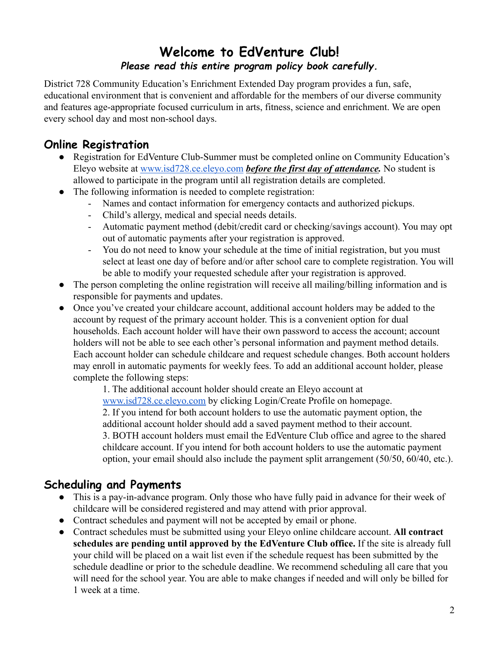# **Welcome to EdVenture Club!** *Please read this entire program policy book carefully.*

District 728 Community Education's Enrichment Extended Day program provides a fun, safe, educational environment that is convenient and affordable for the members of our diverse community and features age-appropriate focused curriculum in arts, fitness, science and enrichment. We are open every school day and most non-school days.

#### **Online Registration**

- Registration for EdVenture Club-Summer must be completed online on Community Education's Eleyo website at [www.isd728.ce.eleyo.com](http://www.isd728.ce.eleyo.com) *before the first day of attendance*. No student is allowed to participate in the program until all registration details are completed.
- The following information is needed to complete registration:
	- Names and contact information for emergency contacts and authorized pickups.
	- Child's allergy, medical and special needs details.
	- Automatic payment method (debit/credit card or checking/savings account). You may opt out of automatic payments after your registration is approved.
	- You do not need to know your schedule at the time of initial registration, but you must select at least one day of before and/or after school care to complete registration. You will be able to modify your requested schedule after your registration is approved.
- The person completing the online registration will receive all mailing/billing information and is responsible for payments and updates.
- Once you've created your childcare account, additional account holders may be added to the account by request of the primary account holder. This is a convenient option for dual households. Each account holder will have their own password to access the account; account holders will not be able to see each other's personal information and payment method details. Each account holder can schedule childcare and request schedule changes. Both account holders may enroll in automatic payments for weekly fees. To add an additional account holder, please complete the following steps:

1. The additional account holder should create an Eleyo account at [www.isd728.ce.eleyo.com](http://www.isd728.ce.eleyo.com) by clicking Login/Create Profile on homepage. 2. If you intend for both account holders to use the automatic payment option, the additional account holder should add a saved payment method to their account. 3. BOTH account holders must email the EdVenture Club office and agree to the shared childcare account. If you intend for both account holders to use the automatic payment option, your email should also include the payment split arrangement (50/50, 60/40, etc.).

#### **Scheduling and Payments**

- This is a pay-in-advance program. Only those who have fully paid in advance for their week of childcare will be considered registered and may attend with prior approval.
- Contract schedules and payment will not be accepted by email or phone.
- Contract schedules must be submitted using your Eleyo online childcare account. **All contract schedules are pending until approved by the EdVenture Club office.** If the site is already full your child will be placed on a wait list even if the schedule request has been submitted by the schedule deadline or prior to the schedule deadline. We recommend scheduling all care that you will need for the school year. You are able to make changes if needed and will only be billed for 1 week at a time.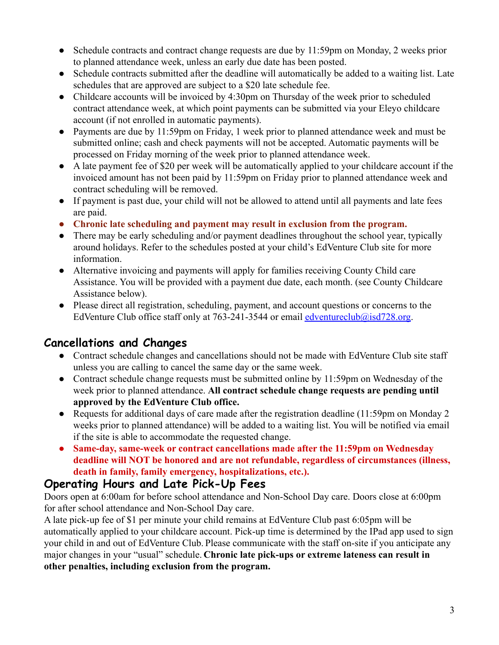- Schedule contracts and contract change requests are due by 11:59pm on Monday, 2 weeks prior to planned attendance week, unless an early due date has been posted.
- Schedule contracts submitted after the deadline will automatically be added to a waiting list. Late schedules that are approved are subject to a \$20 late schedule fee.
- Childcare accounts will be invoiced by 4:30pm on Thursday of the week prior to scheduled contract attendance week, at which point payments can be submitted via your Eleyo childcare account (if not enrolled in automatic payments).
- Payments are due by 11:59pm on Friday, 1 week prior to planned attendance week and must be submitted online; cash and check payments will not be accepted. Automatic payments will be processed on Friday morning of the week prior to planned attendance week.
- A late payment fee of \$20 per week will be automatically applied to your childcare account if the invoiced amount has not been paid by 11:59pm on Friday prior to planned attendance week and contract scheduling will be removed.
- If payment is past due, your child will not be allowed to attend until all payments and late fees are paid.
- **● Chronic late scheduling and payment may result in exclusion from the program.**
- There may be early scheduling and/or payment deadlines throughout the school year, typically around holidays. Refer to the schedules posted at your child's EdVenture Club site for more information.
- Alternative invoicing and payments will apply for families receiving County Child care Assistance. You will be provided with a payment due date, each month. (see County Childcare Assistance below).
- Please direct all registration, scheduling, payment, and account questions or concerns to the EdVenture Club office staff only at 763-241-3544 or email [edventureclub@isd728.org](mailto:edventureclub@isd728.org).

# **Cancellations and Changes**

- Contract schedule changes and cancellations should not be made with EdVenture Club site staff unless you are calling to cancel the same day or the same week.
- Contract schedule change requests must be submitted online by 11:59pm on Wednesday of the week prior to planned attendance. **All contract schedule change requests are pending until approved by the EdVenture Club office.**
- Requests for additional days of care made after the registration deadline (11:59pm on Monday 2) weeks prior to planned attendance) will be added to a waiting list. You will be notified via email if the site is able to accommodate the requested change.
- **● Same-day, same-week or contract cancellations made after the 11:59pm on Wednesday deadline will NOT be honored and are not refundable, regardless of circumstances (illness, death in family, family emergency, hospitalizations, etc.).**

#### **Operating Hours and Late Pick-Up Fees**

Doors open at 6:00am for before school attendance and Non-School Day care. Doors close at 6:00pm for after school attendance and Non-School Day care.

A late pick-up fee of \$1 per minute your child remains at EdVenture Club past 6:05pm will be automatically applied to your childcare account. Pick-up time is determined by the IPad app used to sign your child in and out of EdVenture Club. Please communicate with the staff on-site if you anticipate any major changes in your "usual" schedule. **Chronic late pick-ups or extreme lateness can result in other penalties, including exclusion from the program.**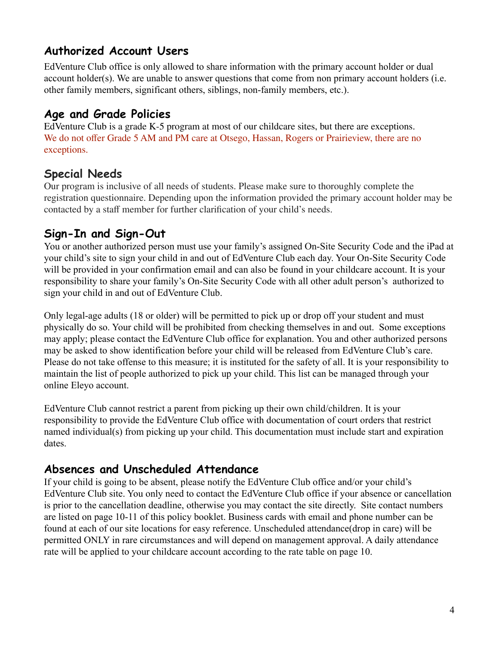#### **Authorized Account Users**

EdVenture Club office is only allowed to share information with the primary account holder or dual account holder(s). We are unable to answer questions that come from non primary account holders (i.e. other family members, significant others, siblings, non-family members, etc.).

#### **Age and Grade Policies**

EdVenture Club is a grade K-5 program at most of our childcare sites, but there are exceptions. We do not offer Grade 5 AM and PM care at Otsego, Hassan, Rogers or Prairieview, there are no exceptions.

#### **Special Needs**

Our program is inclusive of all needs of students. Please make sure to thoroughly complete the registration questionnaire. Depending upon the information provided the primary account holder may be contacted by a staff member for further clarification of your child's needs.

#### **Sign-In and Sign-Out**

You or another authorized person must use your family's assigned On-Site Security Code and the iPad at your child's site to sign your child in and out of EdVenture Club each day. Your On-Site Security Code will be provided in your confirmation email and can also be found in your childcare account. It is your responsibility to share your family's On-Site Security Code with all other adult person's authorized to sign your child in and out of EdVenture Club.

Only legal-age adults (18 or older) will be permitted to pick up or drop off your student and must physically do so. Your child will be prohibited from checking themselves in and out. Some exceptions may apply; please contact the EdVenture Club office for explanation. You and other authorized persons may be asked to show identification before your child will be released from EdVenture Club's care. Please do not take offense to this measure; it is instituted for the safety of all. It is your responsibility to maintain the list of people authorized to pick up your child. This list can be managed through your online Eleyo account.

EdVenture Club cannot restrict a parent from picking up their own child/children. It is your responsibility to provide the EdVenture Club office with documentation of court orders that restrict named individual(s) from picking up your child. This documentation must include start and expiration dates.

#### **Absences and Unscheduled Attendance**

If your child is going to be absent, please notify the EdVenture Club office and/or your child's EdVenture Club site. You only need to contact the EdVenture Club office if your absence or cancellation is prior to the cancellation deadline, otherwise you may contact the site directly. Site contact numbers are listed on page 10-11 of this policy booklet. Business cards with email and phone number can be found at each of our site locations for easy reference. Unscheduled attendance(drop in care) will be permitted ONLY in rare circumstances and will depend on management approval. A daily attendance rate will be applied to your childcare account according to the rate table on page 10.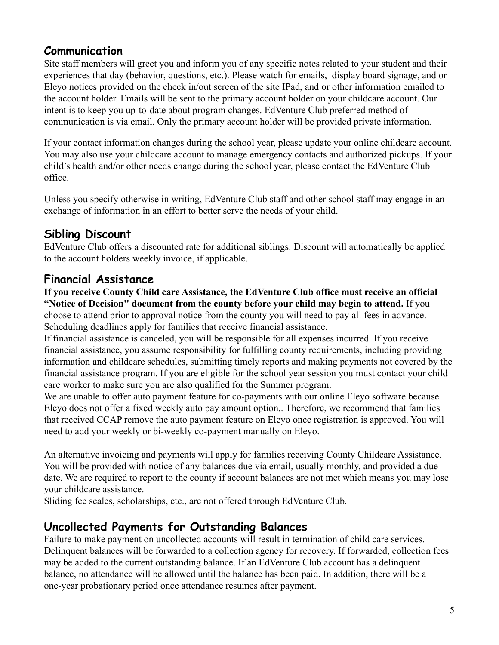#### **Communication**

Site staff members will greet you and inform you of any specific notes related to your student and their experiences that day (behavior, questions, etc.). Please watch for emails, display board signage, and or Eleyo notices provided on the check in/out screen of the site IPad, and or other information emailed to the account holder. Emails will be sent to the primary account holder on your childcare account. Our intent is to keep you up-to-date about program changes. EdVenture Club preferred method of communication is via email. Only the primary account holder will be provided private information.

If your contact information changes during the school year, please update your online childcare account. You may also use your childcare account to manage emergency contacts and authorized pickups. If your child's health and/or other needs change during the school year, please contact the EdVenture Club office.

Unless you specify otherwise in writing, EdVenture Club staff and other school staff may engage in an exchange of information in an effort to better serve the needs of your child.

## **Sibling Discount**

EdVenture Club offers a discounted rate for additional siblings. Discount will automatically be applied to the account holders weekly invoice, if applicable.

#### **Financial Assistance**

**If you receive County Child care Assistance, the EdVenture Club office must receive an official "Notice of Decision'' document from the county before your child may begin to attend.** If you choose to attend prior to approval notice from the county you will need to pay all fees in advance. Scheduling deadlines apply for families that receive financial assistance.

If financial assistance is canceled, you will be responsible for all expenses incurred. If you receive financial assistance, you assume responsibility for fulfilling county requirements, including providing information and childcare schedules, submitting timely reports and making payments not covered by the financial assistance program. If you are eligible for the school year session you must contact your child care worker to make sure you are also qualified for the Summer program.

We are unable to offer auto payment feature for co-payments with our online Eleyo software because Eleyo does not offer a fixed weekly auto pay amount option.. Therefore, we recommend that families that received CCAP remove the auto payment feature on Eleyo once registration is approved. You will need to add your weekly or bi-weekly co-payment manually on Eleyo.

An alternative invoicing and payments will apply for families receiving County Childcare Assistance. You will be provided with notice of any balances due via email, usually monthly, and provided a due date. We are required to report to the county if account balances are not met which means you may lose your childcare assistance.

Sliding fee scales, scholarships, etc., are not offered through EdVenture Club.

#### **Uncollected Payments for Outstanding Balances**

Failure to make payment on uncollected accounts will result in termination of child care services. Delinquent balances will be forwarded to a collection agency for recovery. If forwarded, collection fees may be added to the current outstanding balance. If an EdVenture Club account has a delinquent balance, no attendance will be allowed until the balance has been paid. In addition, there will be a one-year probationary period once attendance resumes after payment.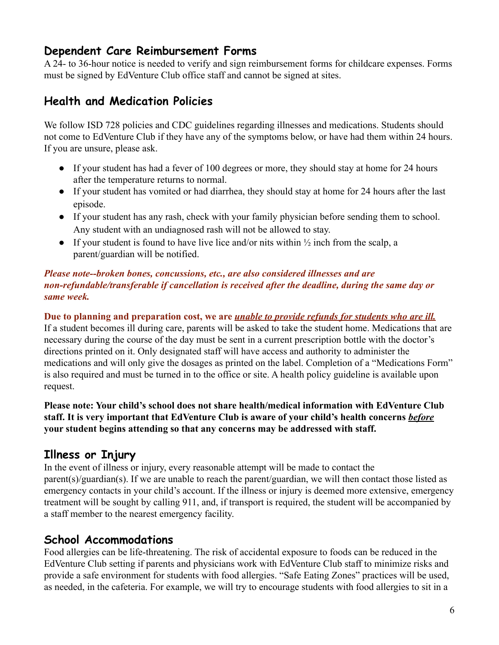#### **Dependent Care Reimbursement Forms**

A 24- to 36-hour notice is needed to verify and sign reimbursement forms for childcare expenses. Forms must be signed by EdVenture Club office staff and cannot be signed at sites.

#### **Health and Medication Policies**

We follow ISD 728 policies and CDC guidelines regarding illnesses and medications. Students should not come to EdVenture Club if they have any of the symptoms below, or have had them within 24 hours. If you are unsure, please ask.

- If your student has had a fever of 100 degrees or more, they should stay at home for 24 hours after the temperature returns to normal.
- If your student has vomited or had diarrhea, they should stay at home for 24 hours after the last episode.
- If your student has any rash, check with your family physician before sending them to school. Any student with an undiagnosed rash will not be allowed to stay.
- If your student is found to have live lice and/or nits within  $\frac{1}{2}$  inch from the scalp, a parent/guardian will be notified.

#### *Please note--broken bones, concussions, etc., are also considered illnesses and are non-refundable/transferable if cancellation is received after the deadline, during the same day or same week.*

**Due to planning and preparation cost, we are** *unable to provide refunds for students who are ill.* If a student becomes ill during care, parents will be asked to take the student home. Medications that are necessary during the course of the day must be sent in a current prescription bottle with the doctor's directions printed on it. Only designated staff will have access and authority to administer the medications and will only give the dosages as printed on the label. Completion of a "Medications Form" is also required and must be turned in to the office or site. A health policy guideline is available upon request.

**Please note: Your child's school does not share health/medical information with EdVenture Club staff. It is very important that EdVenture Club is aware of your child's health concerns** *before* **your student begins attending so that any concerns may be addressed with staff.**

#### **Illness or Injury**

In the event of illness or injury, every reasonable attempt will be made to contact the parent(s)/guardian(s). If we are unable to reach the parent/guardian, we will then contact those listed as emergency contacts in your child's account. If the illness or injury is deemed more extensive, emergency treatment will be sought by calling 911, and, if transport is required, the student will be accompanied by a staff member to the nearest emergency facility.

#### **School Accommodations**

Food allergies can be life-threatening. The risk of accidental exposure to foods can be reduced in the EdVenture Club setting if parents and physicians work with EdVenture Club staff to minimize risks and provide a safe environment for students with food allergies. "Safe Eating Zones" practices will be used, as needed, in the cafeteria. For example, we will try to encourage students with food allergies to sit in a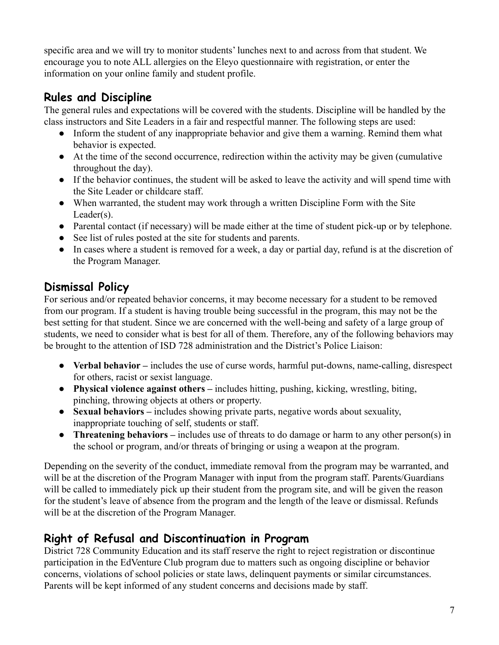specific area and we will try to monitor students' lunches next to and across from that student. We encourage you to note ALL allergies on the Eleyo questionnaire with registration, or enter the information on your online family and student profile.

# **Rules and Discipline**

The general rules and expectations will be covered with the students. Discipline will be handled by the class instructors and Site Leaders in a fair and respectful manner. The following steps are used:

- Inform the student of any inappropriate behavior and give them a warning. Remind them what behavior is expected.
- At the time of the second occurrence, redirection within the activity may be given (cumulative throughout the day).
- If the behavior continues, the student will be asked to leave the activity and will spend time with the Site Leader or childcare staff.
- When warranted, the student may work through a written Discipline Form with the Site Leader(s).
- Parental contact (if necessary) will be made either at the time of student pick-up or by telephone.
- See list of rules posted at the site for students and parents.
- In cases where a student is removed for a week, a day or partial day, refund is at the discretion of the Program Manager.

# **Dismissal Policy**

For serious and/or repeated behavior concerns, it may become necessary for a student to be removed from our program. If a student is having trouble being successful in the program, this may not be the best setting for that student. Since we are concerned with the well-being and safety of a large group of students, we need to consider what is best for all of them. Therefore, any of the following behaviors may be brought to the attention of ISD 728 administration and the District's Police Liaison:

- **Verbal behavior –** includes the use of curse words, harmful put-downs, name-calling, disrespect for others, racist or sexist language.
- **Physical violence against others –** includes hitting, pushing, kicking, wrestling, biting, pinching, throwing objects at others or property.
- **Sexual behaviors –** includes showing private parts, negative words about sexuality, inappropriate touching of self, students or staff.
- **Threatening behaviors –** includes use of threats to do damage or harm to any other person(s) in the school or program, and/or threats of bringing or using a weapon at the program.

Depending on the severity of the conduct, immediate removal from the program may be warranted, and will be at the discretion of the Program Manager with input from the program staff. Parents/Guardians will be called to immediately pick up their student from the program site, and will be given the reason for the student's leave of absence from the program and the length of the leave or dismissal. Refunds will be at the discretion of the Program Manager.

#### **Right of Refusal and Discontinuation in Program**

District 728 Community Education and its staff reserve the right to reject registration or discontinue participation in the EdVenture Club program due to matters such as ongoing discipline or behavior concerns, violations of school policies or state laws, delinquent payments or similar circumstances. Parents will be kept informed of any student concerns and decisions made by staff.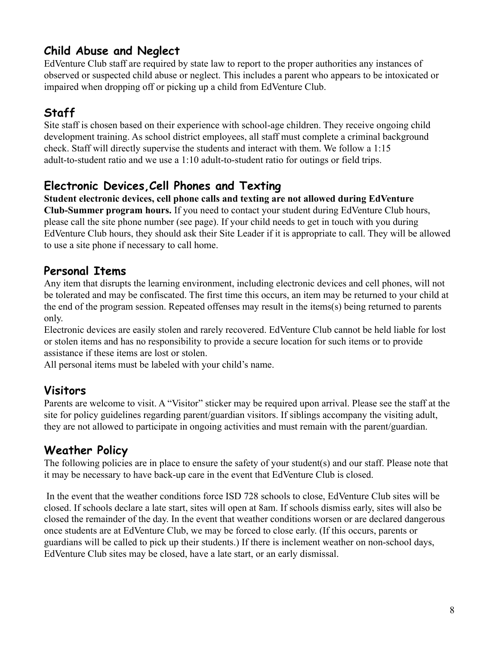### **Child Abuse and Neglect**

EdVenture Club staff are required by state law to report to the proper authorities any instances of observed or suspected child abuse or neglect. This includes a parent who appears to be intoxicated or impaired when dropping off or picking up a child from EdVenture Club.

# **Staff**

Site staff is chosen based on their experience with school-age children. They receive ongoing child development training. As school district employees, all staff must complete a criminal background check. Staff will directly supervise the students and interact with them. We follow a 1:15 adult-to-student ratio and we use a 1:10 adult-to-student ratio for outings or field trips.

# **Electronic Devices,Cell Phones and Texting**

**Student electronic devices, cell phone calls and texting are not allowed during EdVenture Club-Summer program hours.** If you need to contact your student during EdVenture Club hours,

please call the site phone number (see page). If your child needs to get in touch with you during EdVenture Club hours, they should ask their Site Leader if it is appropriate to call. They will be allowed to use a site phone if necessary to call home.

#### **Personal Items**

Any item that disrupts the learning environment, including electronic devices and cell phones, will not be tolerated and may be confiscated. The first time this occurs, an item may be returned to your child at the end of the program session. Repeated offenses may result in the items(s) being returned to parents only.

Electronic devices are easily stolen and rarely recovered. EdVenture Club cannot be held liable for lost or stolen items and has no responsibility to provide a secure location for such items or to provide assistance if these items are lost or stolen.

All personal items must be labeled with your child's name.

# **Visitors**

Parents are welcome to visit. A "Visitor" sticker may be required upon arrival. Please see the staff at the site for policy guidelines regarding parent/guardian visitors. If siblings accompany the visiting adult, they are not allowed to participate in ongoing activities and must remain with the parent/guardian.

#### **Weather Policy**

The following policies are in place to ensure the safety of your student(s) and our staff. Please note that it may be necessary to have back-up care in the event that EdVenture Club is closed.

In the event that the weather conditions force ISD 728 schools to close, EdVenture Club sites will be closed. If schools declare a late start, sites will open at 8am. If schools dismiss early, sites will also be closed the remainder of the day. In the event that weather conditions worsen or are declared dangerous once students are at EdVenture Club, we may be forced to close early. (If this occurs, parents or guardians will be called to pick up their students.) If there is inclement weather on non-school days, EdVenture Club sites may be closed, have a late start, or an early dismissal.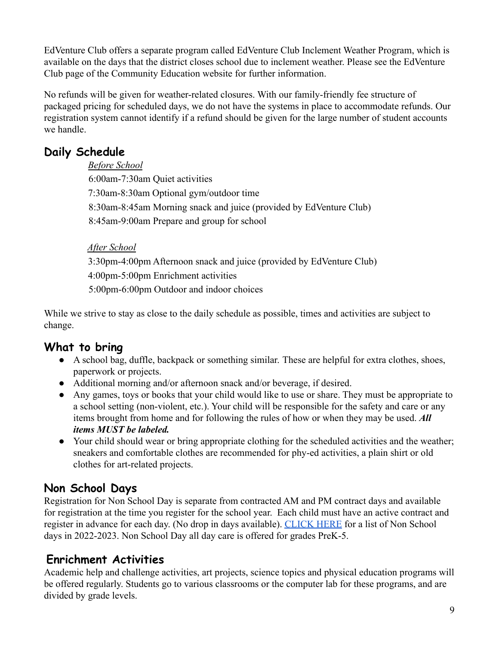EdVenture Club offers a separate program called EdVenture Club Inclement Weather Program, which is available on the days that the district closes school due to inclement weather. Please see the EdVenture Club page of the Community Education website for further information.

No refunds will be given for weather-related closures. With our family-friendly fee structure of packaged pricing for scheduled days, we do not have the systems in place to accommodate refunds. Our registration system cannot identify if a refund should be given for the large number of student accounts we handle.

# **Daily Schedule**

*Before School* 6:00am-7:30am Quiet activities 7:30am-8:30am Optional gym/outdoor time 8:30am-8:45am Morning snack and juice (provided by EdVenture Club) 8:45am-9:00am Prepare and group for school

#### *After School*

3:30pm-4:00pm Afternoon snack and juice (provided by EdVenture Club) 4:00pm-5:00pm Enrichment activities 5:00pm-6:00pm Outdoor and indoor choices

While we strive to stay as close to the daily schedule as possible, times and activities are subject to change.

#### **What to bring**

- *●* A school bag, duffle, backpack or something similar. These are helpful for extra clothes, shoes, paperwork or projects.
- Additional morning and/or afternoon snack and/or beverage, if desired.
- Any games, toys or books that your child would like to use or share. They must be appropriate to a school setting (non-violent, etc.). Your child will be responsible for the safety and care or any items brought from home and for following the rules of how or when they may be used. *All items MUST be labeled.*
- Your child should wear or bring appropriate clothing for the scheduled activities and the weather; sneakers and comfortable clothes are recommended for phy-ed activities, a plain shirt or old clothes for art-related projects.

# **Non School Days**

Registration for Non School Day is separate from contracted AM and PM contract days and available for registration at the time you register for the school year. Each child must have an active contract and register in advance for each day. (No drop in days available). [CLICK HERE](https://drive.google.com/file/d/1LxocQ-TkjYl-yAhLbtElgseTBZLXCyg2/view?usp=sharing) for a list of Non School days in 2022-2023. Non School Day all day care is offered for grades PreK-5.

# **Enrichment Activities**

Academic help and challenge activities, art projects, science topics and physical education programs will be offered regularly. Students go to various classrooms or the computer lab for these programs, and are divided by grade levels.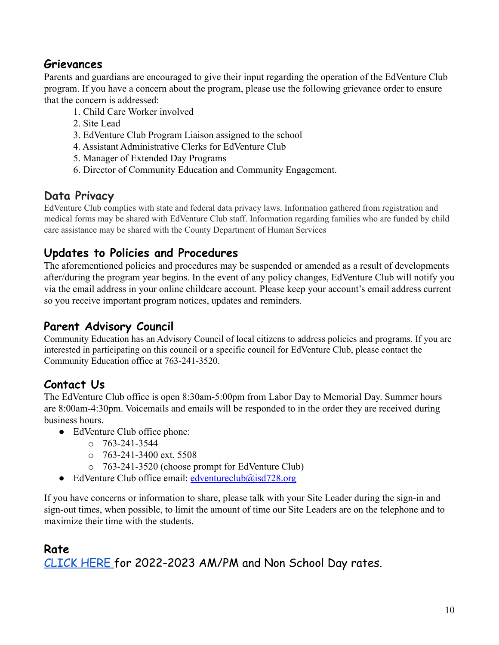# **Grievances**

Parents and guardians are encouraged to give their input regarding the operation of the EdVenture Club program. If you have a concern about the program, please use the following grievance order to ensure that the concern is addressed:

- 1. Child Care Worker involved
- 2. Site Lead
- 3. EdVenture Club Program Liaison assigned to the school
- 4. Assistant Administrative Clerks for EdVenture Club
- 5. Manager of Extended Day Programs
- 6. Director of Community Education and Community Engagement.

#### **Data Privacy**

EdVenture Club complies with state and federal data privacy laws. Information gathered from registration and medical forms may be shared with EdVenture Club staff. Information regarding families who are funded by child care assistance may be shared with the County Department of Human Services

#### **Updates to Policies and Procedures**

The aforementioned policies and procedures may be suspended or amended as a result of developments after/during the program year begins. In the event of any policy changes, EdVenture Club will notify you via the email address in your online childcare account. Please keep your account's email address current so you receive important program notices, updates and reminders.

#### **Parent Advisory Council**

Community Education has an Advisory Council of local citizens to address policies and programs. If you are interested in participating on this council or a specific council for EdVenture Club, please contact the Community Education office at 763-241-3520.

#### **Contact Us**

The EdVenture Club office is open 8:30am-5:00pm from Labor Day to Memorial Day. Summer hours are 8:00am-4:30pm. Voicemails and emails will be responded to in the order they are received during business hours.

- EdVenture Club office phone:
	- $O$  763-241-3544
	- $\degree$  763-241-3400 ext. 5508
	- o 763-241-3520 (choose prompt for EdVenture Club)
- EdVenture Club office email:  $edventureclub@isd728.org$

If you have concerns or information to share, please talk with your Site Leader during the sign-in and sign-out times, when possible, to limit the amount of time our Site Leaders are on the telephone and to maximize their time with the students.

#### **Rate**

[CLICK](https://drive.google.com/file/d/1K5maZ5pWs6YvNSBsL9T0KvLO2CCur_ll/view?usp=sharing) HERE for 2022-2023 AM/PM and Non School Day rates.